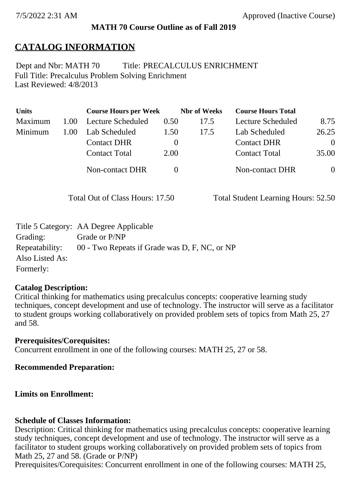### **MATH 70 Course Outline as of Fall 2019**

## **CATALOG INFORMATION**

Full Title: Precalculus Problem Solving Enrichment Last Reviewed: 4/8/2013 Dept and Nbr: MATH 70 Title: PRECALCULUS ENRICHMENT

| <b>Units</b> |      | <b>Course Hours per Week</b> |              | <b>Nbr</b> of Weeks | <b>Course Hours Total</b> |                |
|--------------|------|------------------------------|--------------|---------------------|---------------------------|----------------|
| Maximum      | 1.00 | Lecture Scheduled            | 0.50         | 17.5                | Lecture Scheduled         | 8.75           |
| Minimum      | 1.00 | Lab Scheduled                | 1.50         | 17.5                | Lab Scheduled             | 26.25          |
|              |      | <b>Contact DHR</b>           | $\theta$     |                     | <b>Contact DHR</b>        | $\Omega$       |
|              |      | <b>Contact Total</b>         | 2.00         |                     | <b>Contact Total</b>      | 35.00          |
|              |      | Non-contact DHR              | $\mathbf{0}$ |                     | <b>Non-contact DHR</b>    | $\overline{0}$ |

Total Out of Class Hours: 17.50 Total Student Learning Hours: 52.50

|                 | Title 5 Category: AA Degree Applicable        |
|-----------------|-----------------------------------------------|
| Grading:        | Grade or P/NP                                 |
| Repeatability:  | 00 - Two Repeats if Grade was D, F, NC, or NP |
| Also Listed As: |                                               |
| Formerly:       |                                               |

#### **Catalog Description:**

Critical thinking for mathematics using precalculus concepts: cooperative learning study techniques, concept development and use of technology. The instructor will serve as a facilitator to student groups working collaboratively on provided problem sets of topics from Math 25, 27 and 58.

#### **Prerequisites/Corequisites:**

Concurrent enrollment in one of the following courses: MATH 25, 27 or 58.

#### **Recommended Preparation:**

#### **Limits on Enrollment:**

#### **Schedule of Classes Information:**

Description: Critical thinking for mathematics using precalculus concepts: cooperative learning study techniques, concept development and use of technology. The instructor will serve as a facilitator to student groups working collaboratively on provided problem sets of topics from Math 25, 27 and 58. (Grade or P/NP)

Prerequisites/Corequisites: Concurrent enrollment in one of the following courses: MATH 25,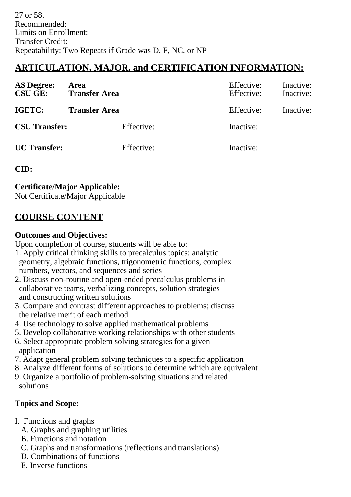# **ARTICULATION, MAJOR, and CERTIFICATION INFORMATION:**

| <b>AS Degree:</b><br><b>CSU GE:</b> | Area<br><b>Transfer Area</b> | Effective:<br>Effective: | Inactive:<br>Inactive: |
|-------------------------------------|------------------------------|--------------------------|------------------------|
| IGETC:                              | <b>Transfer Area</b>         | Effective:               | Inactive:              |
| <b>CSU Transfer:</b>                | Effective:                   | Inactive:                |                        |
| <b>UC</b> Transfer:                 | Effective:                   | Inactive:                |                        |

## **CID:**

**Certificate/Major Applicable:** 

[Not Certificate/Major Applicable](SR_ClassCheck.aspx?CourseKey=MATH70)

# **COURSE CONTENT**

## **Outcomes and Objectives:**

Upon completion of course, students will be able to:

- 1. Apply critical thinking skills to precalculus topics: analytic geometry, algebraic functions, trigonometric functions, complex numbers, vectors, and sequences and series
- 2. Discuss non-routine and open-ended precalculus problems in collaborative teams, verbalizing concepts, solution strategies and constructing written solutions
- 3. Compare and contrast different approaches to problems; discuss the relative merit of each method
- 4. Use technology to solve applied mathematical problems
- 5. Develop collaborative working relationships with other students
- 6. Select appropriate problem solving strategies for a given application
- 7. Adapt general problem solving techniques to a specific application
- 8. Analyze different forms of solutions to determine which are equivalent
- 9. Organize a portfolio of problem-solving situations and related solutions

## **Topics and Scope:**

- I. Functions and graphs
	- A. Graphs and graphing utilities
	- B. Functions and notation
	- C. Graphs and transformations (reflections and translations)
	- D. Combinations of functions
	- E. Inverse functions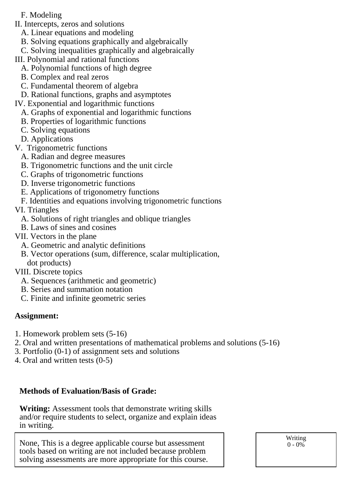- F. Modeling
- II. Intercepts, zeros and solutions
	- A. Linear equations and modeling
	- B. Solving equations graphically and algebraically
	- C. Solving inequalities graphically and algebraically
- III. Polynomial and rational functions
	- A. Polynomial functions of high degree
	- B. Complex and real zeros
	- C. Fundamental theorem of algebra
	- D. Rational functions, graphs and asymptotes
- IV. Exponential and logarithmic functions
	- A. Graphs of exponential and logarithmic functions
	- B. Properties of logarithmic functions
	- C. Solving equations
	- D. Applications
- V. Trigonometric functions
	- A. Radian and degree measures
	- B. Trigonometric functions and the unit circle
	- C. Graphs of trigonometric functions
	- D. Inverse trigonometric functions
	- E. Applications of trigonometry functions
	- F. Identities and equations involving trigonometric functions
- VI. Triangles
	- A. Solutions of right triangles and oblique triangles
	- B. Laws of sines and cosines
- VII. Vectors in the plane
	- A. Geometric and analytic definitions
	- B. Vector operations (sum, difference, scalar multiplication, dot products)
- VIII. Discrete topics
	- A. Sequences (arithmetic and geometric)
	- B. Series and summation notation
	- C. Finite and infinite geometric series

## **Assignment:**

- 1. Homework problem sets (5-16)
- 2. Oral and written presentations of mathematical problems and solutions (5-16)
- 3. Portfolio (0-1) of assignment sets and solutions
- 4. Oral and written tests (0-5)

## **Methods of Evaluation/Basis of Grade:**

**Writing:** Assessment tools that demonstrate writing skills and/or require students to select, organize and explain ideas in writing.

None, This is a degree applicable course but assessment tools based on writing are not included because problem solving assessments are more appropriate for this course. Writing  $0 - 0\%$